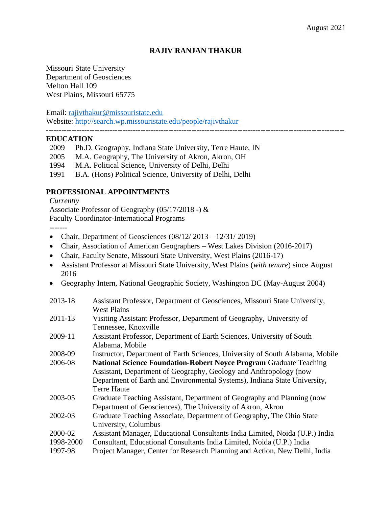# **RAJIV RANJAN THAKUR**

Missouri State University Department of Geosciences Melton Hall 109 West Plains, Missouri 65775

Email: [rajivthakur@missouristate.edu](mailto:rajivthakur@missouristate.edu)

Website:<http://search.wp.missouristate.edu/people/rajivthakur>

#### **EDUCATION**

- 2009 Ph.D. Geography, Indiana State University, Terre Haute, IN
- 2005 M.A. Geography, The University of Akron, Akron, OH
- 1994 M.A. Political Science, University of Delhi, Delhi
- 1991 B.A. (Hons) Political Science, University of Delhi, Delhi

### **PROFESSIONAL APPOINTMENTS**

*Currently*

Associate Professor of Geography (05/17/2018 -) & Faculty Coordinator-International Programs

-------

- Chair, Department of Geosciences  $(08/12/2013 12/31/2019)$
- Chair, Association of American Geographers West Lakes Division (2016-2017)
- Chair, Faculty Senate, Missouri State University, West Plains (2016-17)
- Assistant Professor at Missouri State University, West Plains (*with tenure*) since August 2016
- Geography Intern, National Geographic Society, Washington DC (May-August 2004)

| 2013-18     | Assistant Professor, Department of Geosciences, Missouri State University,    |
|-------------|-------------------------------------------------------------------------------|
|             | <b>West Plains</b>                                                            |
| $2011 - 13$ | Visiting Assistant Professor, Department of Geography, University of          |
|             | Tennessee, Knoxville                                                          |
| 2009-11     | Assistant Professor, Department of Earth Sciences, University of South        |
|             | Alabama, Mobile                                                               |
| 2008-09     | Instructor, Department of Earth Sciences, University of South Alabama, Mobile |
| 2006-08     | <b>National Science Foundation-Robert Noyce Program Graduate Teaching</b>     |
|             | Assistant, Department of Geography, Geology and Anthropology (now             |
|             | Department of Earth and Environmental Systems), Indiana State University,     |
|             | <b>Terre Haute</b>                                                            |
| 2003-05     | Graduate Teaching Assistant, Department of Geography and Planning (now        |
|             | Department of Geosciences), The University of Akron, Akron                    |
| 2002-03     | Graduate Teaching Associate, Department of Geography, The Ohio State          |
|             | University, Columbus                                                          |
| 2000-02     | Assistant Manager, Educational Consultants India Limited, Noida (U.P.) India  |
| 1998-2000   | Consultant, Educational Consultants India Limited, Noida (U.P.) India         |
| 1997-98     | Project Manager, Center for Research Planning and Action, New Delhi, India    |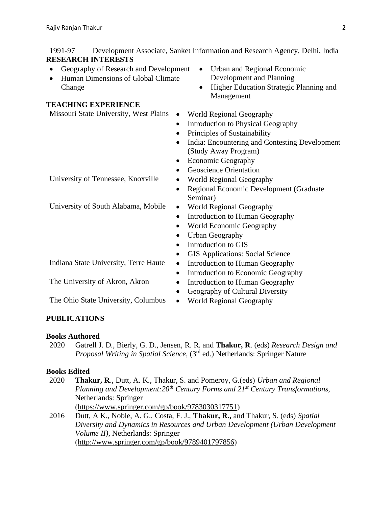1991-97 Development Associate, Sanket Information and Research Agency, Delhi, India **RESEARCH INTERESTS**

- Geography of Research and Development
- Human Dimensions of Global Climate Change

# **TEACHING EXPERIENCE**

Missouri State University, West Plains • World Regional Geography

- 
- 
- 
- India: Encountering and Contesting Development (Study Away Program)
- 
- Geoscience Orientation
- University of Tennessee, Knoxville World Regional Geography
	- Seminar)
- University of South Alabama, Mobile World Regional Geography
	- Introduction to Human Geography
	- World Economic Geography
	- Urban Geography
	-
	- GIS Applications: Social Science
- Indiana State University, Terre Haute Introduction to Human Geography
	- Introduction to Economic Geography
- The University of Akron, Akron Introduction to Human Geography
	- Geography of Cultural Diversity
	-

The Ohio State University, Columbus • World Regional Geography

# **PUBLICATIONS**

# **Books Authored**

2020 Gatrell J. D., Bierly, G. D., Jensen, R. R. and **Thakur, R**. (eds) *Research Design and Proposal Writing in Spatial Science*, (3rd ed.) Netherlands: Springer Nature

# **Books Edited**

- 2020 **Thakur, R**., Dutt, A. K., Thakur, S. and Pomeroy, G.(eds) *Urban and Regional Planning and Development:20th Century Forms and 21st Century Transformations,* Netherlands: Springer [\(https://www.springer.com/gp/book/9783030317751\)](https://www.springer.com/gp/book/9783030317751)
- 2016 Dutt, A K., Noble, A. G., Costa, F. J., **Thakur, R.,** and Thakur, S. (eds) *Spatial Diversity and Dynamics in Resources and Urban Development (Urban Development – Volume II)*, Netherlands: Springer [\(http://www.springer.com/gp/book/9789401797856\)](http://www.springer.com/gp/book/9789401797856)

Development and Planning • Higher Education Strategic Planning and

- 
- 

Management

- Introduction to Physical Geography
- Principles of Sustainability
- 

• Urban and Regional Economic

- Economic Geography
- 
- 
- Regional Economic Development (Graduate
- 
- 
- 
- 
- Introduction to GIS
- 
- 
- 
- 
- 
-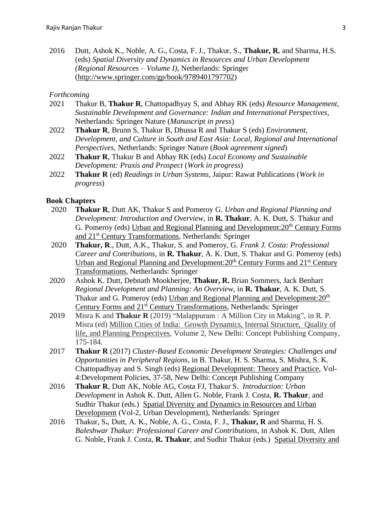2016 Dutt, Ashok K., Noble, A. G., Costa, F. J., Thakur, S., **Thakur, R.** and Sharma, H.S. (eds) *Spatial Diversity and Dynamics in Resources and Urban Development (Regional Resources – Volume I)*, Netherlands: Springer [\(http://www.springer.com/gp/book/9789401797702\)](http://www.springer.com/gp/book/9789401797702)

#### *Forthcoming*

- 2021 Thakur B, **Thakur R**, Chattopadhyay S, and Abhay RK (eds) *Resource Management, Sustainable Development and Governance: Indian and International Perspectives*, Netherlands: Springer Nature (*Manuscript in press*)
- 2022 **Thakur R**, Brunn S, Thakur B, Dhussa R and Thakur S (eds) *Environment, Development, and Culture in South and East Asia: Local, Regional and International Perspectives,* Netherlands: Springer Nature (*Book agreement signed*)
- 2022 **Thakur R**, Thakur B and Abhay RK (eds) *Local Economy and Sustainable Development: Praxis and Prospect* (*Work in progress*)
- 2022 **Thakur R** (ed) *Readings in Urban Systems*, Jaipur: Rawat Publications (*Work in progress*)

#### **Book Chapters**

- 2020 **Thakur R**, Dutt AK, Thakur S and Pomeroy G. *Urban and Regional Planning and Development: Introduction and Overview*, in **R. Thakur**, A. K. Dutt, S. Thakur and G. Pomeroy (eds) Urban and Regional Planning and Development:  $20<sup>th</sup>$  Century Forms and 21st Century Transformations*,* Netherlands: Springer
- 2020 **Thakur, R**., Dutt, A.K., Thakur, S. and Pomeroy, G. *Frank J. Costa: Professional Career and Contributions*, in **R. Thakur**, A. K. Dutt, S. Thakur and G. Pomeroy (eds) Urban and Regional Planning and Development:  $20<sup>th</sup>$  Century Forms and  $21<sup>st</sup>$  Century Transformations*,* Netherlands: Springer
- 2020 Ashok K. Dutt, Debnath Mookherjee, **Thakur, R.** Brian Sommers, Jack Benhart *Regional Development and Planning: An Overview*, in **R. Thakur**, A. K. Dutt, S. Thakur and G. Pomeroy (eds) Urban and Regional Planning and Development:  $20<sup>th</sup>$ Century Forms and 21st Century Transformations*,* Netherlands: Springer
- 2019 Misra K and **Thakur R** (2019) "Malappuram : A Million City in Making", in R. P. Misra (ed) Million Cities of India: Growth Dynamics, Internal Structure, Quality of life, and Planning Perspectives, Volume 2, New Delhi: Concept Publishing Company, 175-184.
- 2017 **Thakur R** (2017) *Cluster-Based Economic Development Strategies: Challenges and Opportunities in Peripheral Regions*, in B. Thakur, H. S. Sharma, S. Mishra, S. K. Chattopadhyay and S. Singh (eds) Regional Development: Theory and Practice, Vol-4:Development Policies, 37-58, New Delhi: Concept Publishing Company
- 2016 **Thakur R**, Dutt AK, Noble AG, Costa FJ, Thakur S. *Introduction: Urban Development* in Ashok K. Dutt, Allen G. Noble, Frank J. Costa, **R. Thakur**, and Sudhir Thakur (eds.) Spatial Diversity and Dynamics in Resources and Urban Development (Vol-2, Urban Development), Netherlands: Springer
- 2016 Thakur, S**.**, Dutt, A. K., Noble, A. G., Costa, F. J., **Thakur, R** and Sharma, H. S. *Baleshwar Thakur: Professional Career and Contributions*, in Ashok K. Dutt, Allen G. Noble, Frank J. Costa, **R. Thakur**, and Sudhir Thakur (eds.) Spatial Diversity and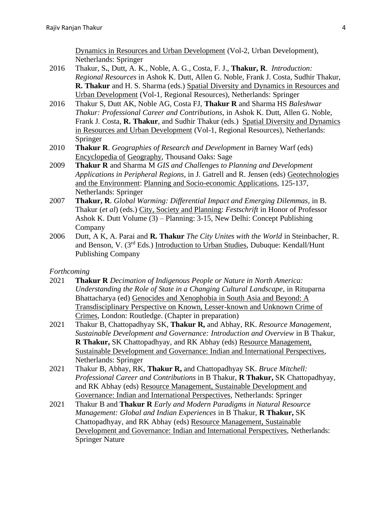Dynamics in Resources and Urban Development (Vol-2, Urban Development), Netherlands: Springer

- 2016 Thakur, S**.**, Dutt, A. K., Noble, A. G., Costa, F. J., **Thakur, R**. *Introduction: Regional Resources* in Ashok K. Dutt, Allen G. Noble, Frank J. Costa, Sudhir Thakur, **R. Thakur** and H. S. Sharma (eds.) Spatial Diversity and Dynamics in Resources and Urban Development (Vol-1, Regional Resources), Netherlands: Springer
- 2016 Thakur S, Dutt AK, Noble AG, Costa FJ, **Thakur R** and Sharma HS *Baleshwar Thakur: Professional Career and Contributions*, in Ashok K. Dutt, Allen G. Noble, Frank J. Costa, **R. Thakur**, and Sudhir Thakur (eds.) Spatial Diversity and Dynamics in Resources and Urban Development (Vol-1, Regional Resources), Netherlands: Springer
- 2010 **Thakur R**. *Geographies of Research and Development* in Barney Warf (eds) Encyclopedia of Geography, Thousand Oaks: Sage
- 2009 **Thakur R** and Sharma M *GIS and Challenges to Planning and Development Applications in Peripheral Regions*, in J. Gatrell and R. Jensen (eds) Geotechnologies and the Environment: Planning and Socio-economic Applications, 125-137, Netherlands: Springer
- 2007 **Thakur, R**. *Global Warming: Differential Impact and Emerging Dilemmas*, in B. Thakur (*et al*) (eds.) City, Society and Planning: *Festschrift* in Honor of Professor Ashok K. Dutt Volume (3) – Planning: 3-15, New Delhi: Concept Publishing Company
- 2006 Dutt, A K, A. Parai and **R. Thakur** *The City Unites with the World* in Steinbacher, R. and Benson, V. (3rd Eds.) Introduction to Urban Studies, Dubuque: Kendall/Hunt Publishing Company

#### *Forthcoming*

- 2021 **Thakur R** *Decimation of Indigenous People or Nature in North America: Understanding the Role of State in a Changing Cultural Landscape*, in Rituparna Bhattacharya (ed) Genocides and Xenophobia in South Asia and Beyond: A Transdisciplinary Perspective on Known, Lesser-known and Unknown Crime of Crimes, London: Routledge. (Chapter in preparation)
- 2021 Thakur B, Chattopadhyay SK, **Thakur R,** and Abhay, RK. *Resource Management, Sustainable Development and Governance: Introduction and Overview* in B Thakur, **R Thakur,** SK Chattopadhyay, and RK Abhay (eds) Resource Management, Sustainable Development and Governance: Indian and International Perspectives, Netherlands: Springer
- 2021 Thakur B, Abhay, RK, **Thakur R,** and Chattopadhyay SK. *Bruce Mitchell: Professional Career and Contributions* in B Thakur, **R Thakur,** SK Chattopadhyay, and RK Abhay (eds) Resource Management, Sustainable Development and Governance: Indian and International Perspectives, Netherlands: Springer
- 2021 Thakur B and **Thakur R** *Early and Modern Paradigms in Natural Resource Management: Global and Indian Experiences* in B Thakur, **R Thakur,** SK Chattopadhyay, and RK Abhay (eds) Resource Management, Sustainable Development and Governance: Indian and International Perspectives, Netherlands: Springer Nature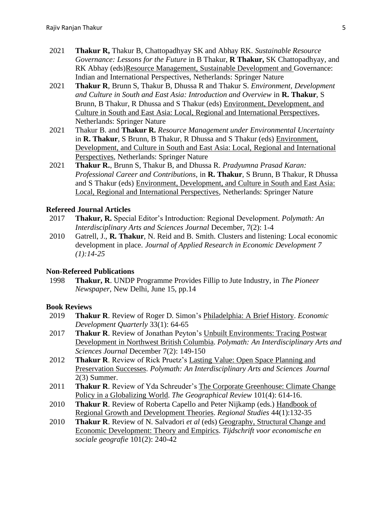- 2021 **Thakur R,** Thakur B, Chattopadhyay SK and Abhay RK. *Sustainable Resource Governance: Lessons for the Future* in B Thakur, **R Thakur,** SK Chattopadhyay, and RK Abhay (eds)Resource Management, Sustainable Development and Governance: Indian and International Perspectives, Netherlands: Springer Nature
- 2021 **Thakur R**, Brunn S, Thakur B, Dhussa R and Thakur S. *Environment, Development and Culture in South and East Asia: Introduction and Overview* in **R. Thakur**, S Brunn, B Thakur, R Dhussa and S Thakur (eds) Environment, Development, and Culture in South and East Asia: Local, Regional and International Perspectives*,* Netherlands: Springer Nature
- 2021 Thakur B. and **Thakur R.** *Resource Management under Environmental Uncertainty* in **R. Thakur**, S Brunn, B Thakur, R Dhussa and S Thakur (eds) Environment, Development, and Culture in South and East Asia: Local, Regional and International Perspectives*,* Netherlands: Springer Nature
- 2021 **Thakur R.**, Brunn S, Thakur B, and Dhussa R. *Pradyumna Prasad Karan: Professional Career and Contributions*, in **R. Thakur**, S Brunn, B Thakur, R Dhussa and S Thakur (eds) Environment, Development, and Culture in South and East Asia: Local, Regional and International Perspectives*,* Netherlands: Springer Nature

#### **Refereed Journal Articles**

- 2017 **Thakur, R.** Special Editor's Introduction: Regional Development. *Polymath: An Interdisciplinary Arts and Sciences Journal* December, 7(2): 1-4
- 2010 Gatrell, J., **R. Thakur**, N. Reid and B. Smith. Clusters and listening: Local economic development in place. *Journal of Applied Research in Economic Development 7 (1):14-25*

#### **Non-Refereed Publications**

1998 **Thakur, R**. UNDP Programme Provides Fillip to Jute Industry, in *The Pioneer Newspaper*, New Delhi, June 15, pp.14

#### **Book Reviews**

- 2019 **Thakur R**. Review of Roger D. Simon's Philadelphia: A Brief History. *Economic Development Quarterly* 33(1): 64-65
- 2017 **Thakur R**. Review of Jonathan Peyton's Unbuilt Environments: Tracing Postwar Development in Northwest British Columbia. *Polymath: An Interdisciplinary Arts and Sciences Journal* December 7(2): 149-150
- 2012 **Thakur R**. Review of Rick Pruetz's Lasting Value: Open Space Planning and Preservation Successes. *Polymath: An Interdisciplinary Arts and Sciences Journal*  2(3) Summer.
- 2011 **Thakur R**. Review of Yda Schreuder's The Corporate Greenhouse: Climate Change Policy in a Globalizing World. *The Geographical Review* 101(4): 614-16.
- 2010 **Thakur R**. Review of Roberta Capello and Peter Nijkamp (eds.) Handbook of Regional Growth and Development Theories. *Regional Studies* 44(1):132-35
- 2010 **Thakur R**. Review of N. Salvadori *et al* (eds) Geography, Structural Change and Economic Development: Theory and Empirics. *Tijdschrift voor economische en sociale geografie* 101(2): 240-42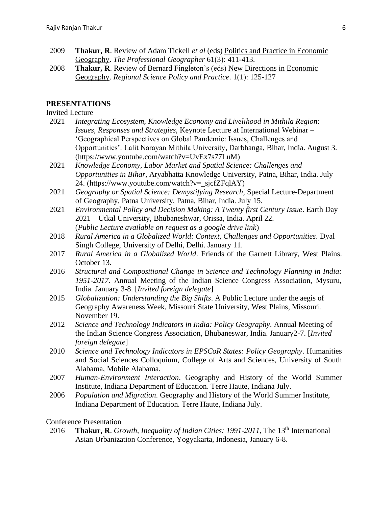- 2009 **Thakur, R**. Review of Adam Tickell *et al* (eds) Politics and Practice in Economic Geography. *The Professional Geographer* 61(3): 411-413.
- 2008 **Thakur, R**. Review of Bernard Fingleton's (eds) New Directions in Economic Geography. *Regional Science Policy and Practice*. 1(1): 125-127

#### **PRESENTATIONS**

#### Invited Lecture

- 2021 *Integrating Ecosystem, Knowledge Economy and Livelihood in Mithila Region: Issues, Responses and Strategies*, Keynote Lecture at International Webinar – 'Geographical Perspectives on Global Pandemic: Issues, Challenges and Opportunities'. Lalit Narayan Mithila University, Darbhanga, Bihar, India. August 3. (https://www.youtube.com/watch?v=UvEx7s77LuM)
- 2021 *Knowledge Economy, Labor Market and Spatial Science: Challenges and Opportunities in Bihar*, Aryabhatta Knowledge University, Patna, Bihar, India. July 24. (https://www.youtube.com/watch?v=\_sjcfZFqlAY)
- 2021 *Geography or Spatial Science: Demystifying Research*, Special Lecture-Department of Geography, Patna University, Patna, Bihar, India. July 15.
- 2021 *Environmental Policy and Decision Making: A Twenty first Century Issue*. Earth Day 2021 – Utkal University, Bhubaneshwar, Orissa, India. April 22. (*Public Lecture available on request as a google drive link*)
- 2018 *Rural America in a Globalized World: Context, Challenges and Opportunities*. Dyal Singh College, University of Delhi, Delhi. January 11.
- 2017 *Rural America in a Globalized World*. Friends of the Garnett Library, West Plains. October 13.
- 2016 *Structural and Compositional Change in Science and Technology Planning in India: 1951-2017*. Annual Meeting of the Indian Science Congress Association, Mysuru, India. January 3-8. [*Invited foreign delegate*]
- 2015 *Globalization: Understanding the Big Shifts*. A Public Lecture under the aegis of Geography Awareness Week, Missouri State University, West Plains, Missouri. November 19.
- 2012 *Science and Technology Indicators in India: Policy Geography*. Annual Meeting of the Indian Science Congress Association, Bhubaneswar, India. January2-7. [*Invited foreign delegate*]
- 2010 *Science and Technology Indicators in EPSCoR States: Policy Geography*. Humanities and Social Sciences Colloquium, College of Arts and Sciences, University of South Alabama, Mobile Alabama.
- 2007 *Human-Environment Interaction*. Geography and History of the World Summer Institute, Indiana Department of Education. Terre Haute, Indiana July.
- 2006 *Population and Migration*. Geography and History of the World Summer Institute, Indiana Department of Education. Terre Haute, Indiana July.

#### Conference Presentation

2016 **Thakur, R**. *Growth, Inequality of Indian Cities: 1991-2011*, The 13<sup>th</sup> International Asian Urbanization Conference, Yogyakarta, Indonesia, January 6-8.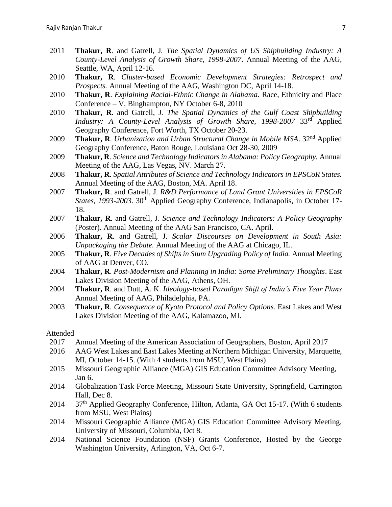- 2011 **Thakur, R**. and Gatrell, J*. The Spatial Dynamics of US Shipbuilding Industry: A County-Level Analysis of Growth Share, 1998-2007*. Annual Meeting of the AAG, Seattle, WA, April 12-16.
- 2010 **Thakur, R**. *Cluster-based Economic Development Strategies: Retrospect and Prospects.* Annual Meeting of the AAG, Washington DC, April 14-18.
- 2010 **Thakur, R**. *Explaining Racial-Ethnic Change in Alabama*. Race, Ethnicity and Place Conference – V, Binghampton, NY October 6-8, 2010
- 2010 **Thakur, R**. and Gatrell, J*. The Spatial Dynamics of the Gulf Coast Shipbuilding Industry: A County-Level Analysis of Growth Share, 1998-2007* 33rd Applied Geography Conference, Fort Worth, TX October 20-23.
- 2009 **Thakur, R**. *Urbanization and Urban Structural Change in Mobile MSA*. 32nd Applied Geography Conference, Baton Rouge, Louisiana Oct 28-30, 2009
- 2009 **Thakur, R***. Science and Technology Indicators in Alabama: Policy Geography.* Annual Meeting of the AAG, Las Vegas, NV. March 27.
- 2008 **Thakur, R***. Spatial Attributes of Science and Technology Indicators in EPSCoR States.*  Annual Meeting of the AAG, Boston, MA. April 18.
- 2007 **Thakur, R**. and Gatrell, J. *R&D Performance of Land Grant Universities in EPSCoR States, 1993-2003.* 30<sup>th</sup> Applied Geography Conference, Indianapolis, in October 17-18.
- 2007 **Thakur, R**. and Gatrell, J. *Science and Technology Indicators: A Policy Geography*  (Poster). Annual Meeting of the AAG San Francisco, CA. April.
- 2006 **Thakur, R**. and Gatrell, J. *[Scalar Discourses on Development in South Asia:](http://communicate.aag.org/eseries/aag_org/program/AbstractDetail.cfm?AbstractID=9080)  [Unpackaging the Debate.](http://communicate.aag.org/eseries/aag_org/program/AbstractDetail.cfm?AbstractID=9080)* Annual Meeting of the AAG at Chicago, IL.
- 2005 **Thakur, R**. *Five Decades of Shifts in Slum Upgrading Policy of India.* Annual Meeting of AAG at Denver, CO.
- 2004 **Thakur, R**. *Post-Modernism and Planning in India: Some Preliminary Thoughts*. East Lakes Division Meeting of the AAG, Athens, OH.
- 2004 **Thakur, R**. and Dutt, A. K. *Ideology-based Paradigm Shift of India's Five Year Plans*  Annual Meeting of AAG, Philadelphia, PA.
- 2003 **Thakur, R***. Consequence of Kyoto Protocol and Policy Options.* East Lakes and West Lakes Division Meeting of the AAG, Kalamazoo, MI.

#### Attended

- 2017 Annual Meeting of the American Association of Geographers, Boston, April 2017
- 2016 AAG West Lakes and East Lakes Meeting at Northern Michigan University, Marquette, MI, October 14-15. (With 4 students from MSU, West Plains)
- 2015 Missouri Geographic Alliance (MGA) GIS Education Committee Advisory Meeting, Jan 6.
- 2014 Globalization Task Force Meeting, Missouri State University, Springfield, Carrington Hall, Dec 8.
- 2014 37<sup>th</sup> Applied Geography Conference, Hilton, Atlanta, GA Oct 15-17. (With 6 students from MSU, West Plains)
- 2014 Missouri Geographic Alliance (MGA) GIS Education Committee Advisory Meeting, University of Missouri, Columbia, Oct 8.
- 2014 National Science Foundation (NSF) Grants Conference, Hosted by the George Washington University, Arlington, VA, Oct 6-7.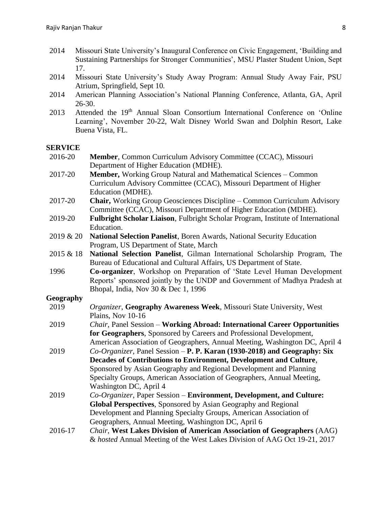- 2014 Missouri State University's Inaugural Conference on Civic Engagement, 'Building and Sustaining Partnerships for Stronger Communities', MSU Plaster Student Union, Sept 17.
- 2014 Missouri State University's Study Away Program: Annual Study Away Fair, PSU Atrium, Springfield, Sept 10.
- 2014 American Planning Association's National Planning Conference, Atlanta, GA, April 26-30.
- 2013 Attended the 19<sup>th</sup> Annual Sloan Consortium International Conference on 'Online Learning', November 20-22, Walt Disney World Swan and Dolphin Resort, Lake Buena Vista, FL.

# **SERVICE**

| 2016-20   | Member, Common Curriculum Advisory Committee (CCAC), Missouri<br>Department of Higher Education (MDHE).                                        |
|-----------|------------------------------------------------------------------------------------------------------------------------------------------------|
| 2017-20   | <b>Member,</b> Working Group Natural and Mathematical Sciences – Common<br>Curriculum Advisory Committee (CCAC), Missouri Department of Higher |
|           | Education (MDHE).                                                                                                                              |
| 2017-20   | <b>Chair, Working Group Geosciences Discipline – Common Curriculum Advisory</b>                                                                |
|           | Committee (CCAC), Missouri Department of Higher Education (MDHE).                                                                              |
| 2019-20   | Fulbright Scholar Liaison, Fulbright Scholar Program, Institute of International                                                               |
|           | Education.                                                                                                                                     |
| 2019 & 20 | National Selection Panelist, Boren Awards, National Security Education<br>Program, US Department of State, March                               |
| 2015 & 18 | National Selection Panelist, Gilman International Scholarship Program, The                                                                     |
|           | Bureau of Educational and Cultural Affairs, US Department of State.                                                                            |
| 1996      | Co-organizer, Workshop on Preparation of 'State Level Human Development                                                                        |
|           | Reports' sponsored jointly by the UNDP and Government of Madhya Pradesh at                                                                     |
|           | Bhopal, India, Nov 30 & Dec 1, 1996                                                                                                            |
| Geography |                                                                                                                                                |
| 2019      | Organizer, Geography Awareness Week, Missouri State University, West                                                                           |
|           | Plains, Nov 10-16                                                                                                                              |
| 2019      | Chair, Panel Session - Working Abroad: International Career Opportunities                                                                      |
|           | for Geographers, Sponsored by Careers and Professional Development,                                                                            |
|           | American Association of Geographers, Annual Meeting, Washington DC, April 4                                                                    |
| 2019      | Co-Organizer, Panel Session - P. P. Karan (1930-2018) and Geography: Six                                                                       |
|           | Decades of Contributions to Environment, Development and Culture,                                                                              |
|           | Sponsored by Asian Geography and Regional Development and Planning                                                                             |
|           | Specialty Groups, American Association of Geographers, Annual Meeting,                                                                         |
|           | Washington DC, April 4                                                                                                                         |
| 2019      | Co-Organizer, Paper Session – Environment, Development, and Culture:                                                                           |
|           | Global Perspectives, Sponsored by Asian Geography and Regional                                                                                 |
|           | Development and Planning Specialty Groups, American Association of                                                                             |
|           | Geographers, Annual Meeting, Washington DC, April 6                                                                                            |
| 2016-17   | Chair, West Lakes Division of American Association of Geographers (AAG)                                                                        |
|           | & hosted Annual Meeting of the West Lakes Division of AAG Oct 19-21, 2017                                                                      |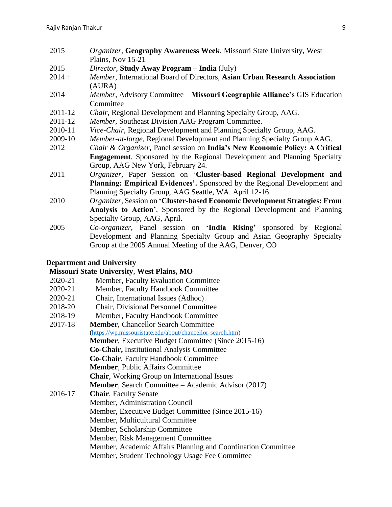- 2015 *Organizer*, **Geography Awareness Week**, Missouri State University, West Plains, Nov 15-21
- 2015 *Director*, **Study Away Program – India** (July)
- 2014 + *Member*, International Board of Directors, **Asian Urban Research Association** (AURA)
- 2014 *Member*, Advisory Committee **Missouri Geographic Alliance's** GIS Education Committee
- 2011-12 *Chair*, Regional Development and Planning Specialty Group, AAG.
- 2011-12 *Member*, Southeast Division AAG Program Committee.
- 2010-11 *Vice-Chair*, Regional Development and Planning Specialty Group, AAG.
- 2009-10 *Member-at-large*, Regional Development and Planning Specialty Group AAG.
- 2012 *Chair & Organizer*, Panel session on **India's New Economic Policy: A Critical Engagement**. Sponsored by the Regional Development and Planning Specialty Group, AAG New York, February 24.
- 2011 *Organizer*, Paper Session on '**Cluster-based Regional Development and Planning: Empirical Evidences'.** Sponsored by the Regional Development and Planning Specialty Group, AAG Seattle, WA. April 12-16.
- 2010 *Organizer*, Session on **'Cluster-based Economic Development Strategies: From Analysis to Action'**. Sponsored by the Regional Development and Planning Specialty Group, AAG, April.
- 2005 *Co-organizer*, Panel session on **'India Rising'** sponsored by Regional Development and Planning Specialty Group and Asian Geography Specialty Group at the 2005 Annual Meeting of the AAG, Denver, CO

#### **Department and University**

#### **Missouri State University**, **West Plains, MO**

- 2020-21 Member, Faculty Evaluation Committee
- 2020-21 Member, Faculty Handbook Committee
- 2020-21 Chair, International Issues (Adhoc)
- 2018-20 Chair, Divisional Personnel Committee
- 2018-19 Member, Faculty Handbook Committee
- 2017-18 **Member**, Chancellor Search Committee [\(https://wp.missouristate.edu/about/chancellor-search.htm\)](https://wp.missouristate.edu/about/chancellor-search.htm) **Member**, Executive Budget Committee (Since 2015-16) **Co-Chair,** Institutional Analysis Committee **Co-Chair**, Faculty Handbook Committee **Member**, Public Affairs Committee **Chair**, Working Group on International Issues **Member**, Search Committee – Academic Advisor (2017) 2016-17 **Chair**, Faculty Senate Member, Administration Council Member, Executive Budget Committee (Since 2015-16) Member, Multicultural Committee Member, Scholarship Committee Member, Risk Management Committee Member, Academic Affairs Planning and Coordination Committee Member, Student Technology Usage Fee Committee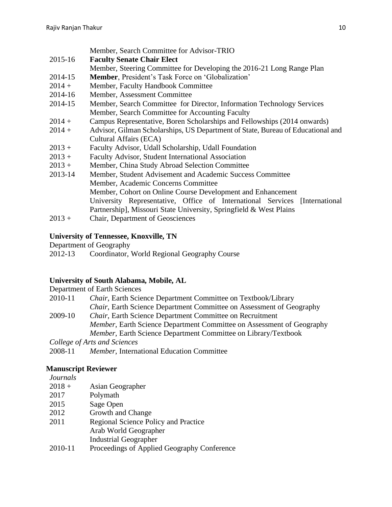|          | Member, Search Committee for Advisor-TRIO                                       |
|----------|---------------------------------------------------------------------------------|
| 2015-16  | <b>Faculty Senate Chair Elect</b>                                               |
|          | Member, Steering Committee for Developing the 2016-21 Long Range Plan           |
| 2014-15  | <b>Member, President's Task Force on 'Globalization'</b>                        |
| $2014 +$ | Member, Faculty Handbook Committee                                              |
| 2014-16  | Member, Assessment Committee                                                    |
| 2014-15  | Member, Search Committee for Director, Information Technology Services          |
|          | Member, Search Committee for Accounting Faculty                                 |
| $2014 +$ | Campus Representative, Boren Scholarships and Fellowships (2014 onwards)        |
| $2014 +$ | Advisor, Gilman Scholarships, US Department of State, Bureau of Educational and |
|          | Cultural Affairs (ECA)                                                          |
| $2013 +$ | Faculty Advisor, Udall Scholarship, Udall Foundation                            |
| $2013 +$ | Faculty Advisor, Student International Association                              |
| $2013 +$ | Member, China Study Abroad Selection Committee                                  |
| 2013-14  | Member, Student Advisement and Academic Success Committee                       |
|          | Member, Academic Concerns Committee                                             |
|          | Member, Cohort on Online Course Development and Enhancement                     |
|          | University Representative, Office of International Services [International      |
|          | Partnership], Missouri State University, Springfield & West Plains              |
| $2013 +$ | Chair, Department of Geosciences                                                |

# **University of Tennessee, Knoxville, TN**

Department of Geography

| 2012-13 | Coordinator, World Regional Geography Course |  |
|---------|----------------------------------------------|--|

# **University of South Alabama, Mobile, AL**

|         | Department of Earth Sciences                                                 |
|---------|------------------------------------------------------------------------------|
| 2010-11 | Chair, Earth Science Department Committee on Textbook/Library                |
|         | <i>Chair</i> , Earth Science Department Committee on Assessment of Geography |
| 2009-10 | <i>Chair</i> , Earth Science Department Committee on Recruitment             |
|         | Member, Earth Science Department Committee on Assessment of Geography        |
|         | Member, Earth Science Department Committee on Library/Textbook               |
|         | College of Arts and Sciences                                                 |
| 2008-11 | <i>Member</i> , International Education Committee                            |

# **Manuscript Reviewer**

*Journals*

| $2018 +$ | Asian Geographer                            |
|----------|---------------------------------------------|
| 2017     | Polymath                                    |
| 2015     | Sage Open                                   |
| 2012     | Growth and Change                           |
| 2011     | Regional Science Policy and Practice        |
|          | Arab World Geographer                       |
|          | <b>Industrial Geographer</b>                |
| 2010     | Drogoodings of Applied Coography Conference |

2010-11 Proceedings of Applied Geography Conference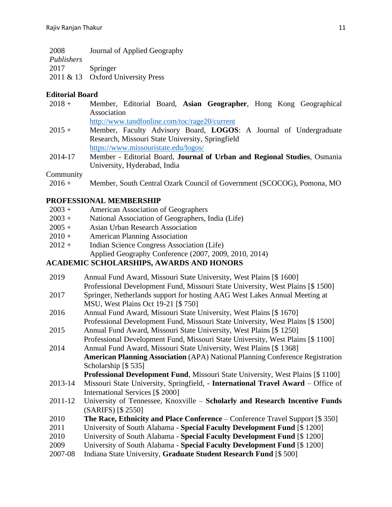| 2008       | Journal of Applied Geography |
|------------|------------------------------|
| Publishers |                              |
| 2017       | Springer                     |

2011 & 13 Oxford University Press

# **Editorial Board**

| $2018 +$  | Member, Editorial Board, Asian Geographer, Hong Kong Geographical        |
|-----------|--------------------------------------------------------------------------|
|           | Association                                                              |
|           | http://www.tandfonline.com/toc/rage20/current                            |
| $2015 +$  | Member, Faculty Advisory Board, LOGOS: A Journal of Undergraduate        |
|           | Research, Missouri State University, Springfield                         |
|           | https://www.missouristate.edu/logos/                                     |
| 2014-17   | Member - Editorial Board, Journal of Urban and Regional Studies, Osmania |
|           | University, Hyderabad, India                                             |
| Community |                                                                          |
| $2016 +$  | Member, South Central Ozark Council of Government (SCOCOG), Pomona, MO   |

# **PROFESSIONAL MEMBERSHIP**

| $2003 +$<br>American Association of Geographers |
|-------------------------------------------------|
|-------------------------------------------------|

- 2003 + National Association of Geographers, India (Life)
- 2005 + Asian Urban Research Association
- 2010 + American Planning Association
- 2012 + Indian Science Congress Association (Life) Applied Geography Conference (2007, 2009, 2010, 2014)

# **ACADEMIC SCHOLARSHIPS, AWARDS AND HONORS**

| 2019    | Annual Fund Award, Missouri State University, West Plains [\$1600]                    |
|---------|---------------------------------------------------------------------------------------|
|         | Professional Development Fund, Missouri State University, West Plains [\$1500]        |
| 2017    | Springer, Netherlands support for hosting AAG West Lakes Annual Meeting at            |
|         | MSU, West Plains Oct 19-21 [\$750]                                                    |
| 2016    | Annual Fund Award, Missouri State University, West Plains [\$1670]                    |
|         | Professional Development Fund, Missouri State University, West Plains [\$1500]        |
| 2015    | Annual Fund Award, Missouri State University, West Plains [\$ 1250]                   |
|         | Professional Development Fund, Missouri State University, West Plains [\$1100]        |
| 2014    | Annual Fund Award, Missouri State University, West Plains [\$ 1368]                   |
|         | <b>American Planning Association</b> (APA) National Planning Conference Registration  |
|         | Scholarship $[$ 535]$                                                                 |
|         | <b>Professional Development Fund, Missouri State University, West Plains [\$1100]</b> |
| 2013-14 | Missouri State University, Springfield, - International Travel Award - Office of      |
|         | International Services [\$ 2000]                                                      |
| 2011-12 | University of Tennessee, Knoxville - Scholarly and Research Incentive Funds           |
|         | (SARIFS) [\$ 2550]                                                                    |
| 2010    | <b>The Race, Ethnicity and Place Conference</b> – Conference Travel Support [\$350]   |
| 2011    | University of South Alabama - Special Faculty Development Fund [\$ 1200]              |
| 2010    | University of South Alabama - Special Faculty Development Fund [\$ 1200]              |
| 2009    | University of South Alabama - Special Faculty Development Fund [\$ 1200]              |
| 2007-08 | Indiana State University, Graduate Student Research Fund [\$500]                      |